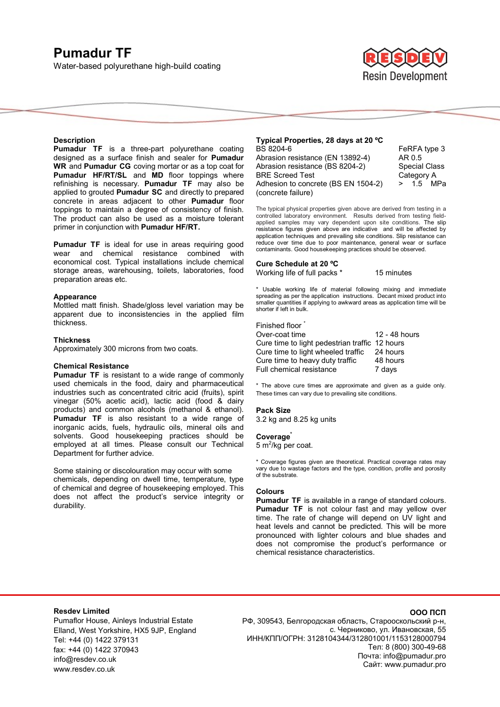# **Pumadur TF**  Water-based polyurethane high-build coating



**Special Class** Category A  $> 1.5$  MPa

## **Description**

**Pumadur TF** is a three-part polyurethane coating designed as a surface finish and sealer for **Pumadur WR** and **Pumadur CG** coving mortar or as a top coat for **Pumadur HF/RT/SL** and **MD** floor toppings where refinishing is necessary. **Pumadur TF** may also be applied to grouted **Pumadur SC** and directly to prepared concrete in areas adjacent to other **Pumadur** floor toppings to maintain a degree of consistency of finish. The product can also be used as a moisture tolerant primer in conjunction with **Pumadur HF/RT.**

**Pumadur TF** is ideal for use in areas requiring good wear and chemical resistance combined with economical cost. Typical installations include chemical storage areas, warehousing, toilets, laboratories, food preparation areas etc.

#### **Appearance**

Mottled matt finish. Shade/gloss level variation may be apparent due to inconsistencies in the applied film thickness.

#### **Thickness**

Approximately 300 microns from two coats.

## **Chemical Resistance**

**Pumadur TF** is resistant to a wide range of commonly used chemicals in the food, dairy and pharmaceutical industries such as concentrated citric acid (fruits), spirit vinegar (50% acetic acid), lactic acid (food  $\&$  dairy products) and common alcohols (methanol & ethanol). **Pumadur TF** is also resistant to a wide range of inorganic acids, fuels, hydraulic oils, mineral oils and solvents. Good housekeeping practices should be employed at all times. Please consult our Technical Department for further advice.

Some staining or discolouration may occur with some chemicals, depending on dwell time, temperature, type of chemical and degree of housekeeping employed. This does not affect the product's service integrity or durability.

## **Typical Properties, 28 days at 20 ºC**  BS 8204-6 FeRFA type 3 Abrasion resistance (EN 13892-4) AR 0.5

| Abrasion resistance (BS 8204-2)     |
|-------------------------------------|
| <b>BRE Screed Test</b>              |
| Adhesion to concrete (BS EN 1504-2) |
| (concrete failure)                  |

The typical physical properties given above are derived from testing in a controlled laboratory environment. Results derived from testing fieldapplied samples may vary dependent upon site conditions. The slip resistance figures given above are indicative and will be affected by application techniques and prevailing site conditions. Slip resistance can reduce over time due to poor maintenance, general wear or surface contaminants. Good housekeeping practices should be observed.

## **Cure Schedule at 20 ºC**

Working life of full packs \* 15 minutes

\* Usable working life of material following mixing and immediate spreading as per the application instructions. Decant mixed product into smaller quantities if applying to awkward areas as application time will be shorter if left in bulk.

## Finished floor

| Over-coat time                                 | 12 - 48 hours |
|------------------------------------------------|---------------|
| Cure time to light pedestrian traffic 12 hours |               |
| Cure time to light wheeled traffic             | 24 hours      |
| Cure time to heavy duty traffic                | 48 hours      |
| <b>Full chemical resistance</b>                | 7 days        |

\* The above cure times are approximate and given as a guide only. These times can vary due to prevailing site conditions.

#### **Pack Size**

3.2 kg and 8.25 kg units

#### **Coverage\***

5 m<sup>2</sup>/kg per coat.

\* Coverage figures given are theoretical. Practical coverage rates may vary due to wastage factors and the type, condition, profile and porosity of the substrate.

## **Colours**

**Pumadur TF** is available in a range of standard colours. **Pumadur TF** is not colour fast and may yellow over time. The rate of change will depend on UV light and heat levels and cannot be predicted. This will be more pronounced with lighter colours and blue shades and does not compromise the product's performance or chemical resistance characteristics.

## **Resdev Limited**

Pumaflor House, Ainleys Industrial Estate Elland, West Yorkshire, HX5 9JP, England Tel: +44 (0) 1422 379131 fax: +44 (0) 1422 370943 info@resdev.co.uk www.resdev.co.uk

## **ООО ПСП**

РФ, 309543, Белгородская область, Старооскольский р-н, с. Черниково, ул. Ивановская, 55 ИНН/КПП/ОГРН: 3128104344/312801001/1153128000794 Тел: 8 (800) 300-49-68 Почта: info@pumadur.pro Сайт: www.pumadur.pro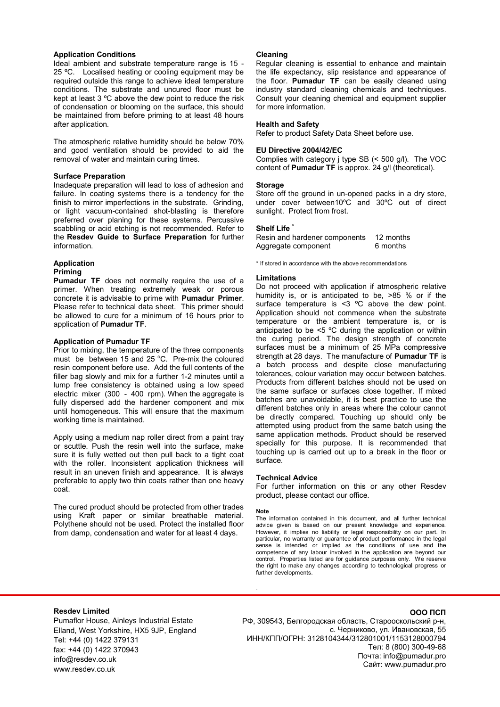## **Application Conditions**

Ideal ambient and substrate temperature range is 15 - 25 ºC. Localised heating or cooling equipment may be required outside this range to achieve ideal temperature conditions. The substrate and uncured floor must be kept at least 3 ºC above the dew point to reduce the risk of condensation or blooming on the surface, this should be maintained from before priming to at least 48 hours after application.

The atmospheric relative humidity should be below 70% and good ventilation should be provided to aid the removal of water and maintain curing times.

## **Surface Preparation**

Inadequate preparation will lead to loss of adhesion and failure. In coating systems there is a tendency for the finish to mirror imperfections in the substrate. Grinding, or light vacuum-contained shot-blasting is therefore preferred over planing for these systems. Percussive scabbling or acid etching is not recommended. Refer to the **Resdev Guide to Surface Preparation** for further information.

#### **Application Priming**

**Pumadur TF** does not normally require the use of a primer. When treating extremely weak or porous concrete it is advisable to prime with **Pumadur Primer**. Please refer to technical data sheet. This primer should be allowed to cure for a minimum of 16 hours prior to application of **Pumadur TF**.

## **Application of Pumadur TF**

Prior to mixing, the temperature of the three components must be between 15 and 25  $^{\circ}$ C. Pre-mix the coloured resin component before use. Add the full contents of the filler bag slowly and mix for a further 1-2 minutes until a lump free consistency is obtained using a low speed electric mixer (300 - 400 rpm). When the aggregate is fully dispersed add the hardener component and mix until homogeneous. This will ensure that the maximum working time is maintained.

Apply using a medium nap roller direct from a paint tray or scuttle. Push the resin well into the surface, make sure it is fully wetted out then pull back to a tight coat with the roller. Inconsistent application thickness will result in an uneven finish and appearance. It is always preferable to apply two thin coats rather than one heavy coat.

The cured product should be protected from other trades using Kraft paper or similar breathable material. Polythene should not be used. Protect the installed floor from damp, condensation and water for at least 4 days.

## **Cleaning**

Regular cleaning is essential to enhance and maintain the life expectancy, slip resistance and appearance of the floor. **Pumadur TF** can be easily cleaned using industry standard cleaning chemicals and techniques. Consult your cleaning chemical and equipment supplier for more information.

## **Health and Safety**

Refer to product Safety Data Sheet before use.

## **EU Directive 2004/42/EC**

Complies with category j type SB (< 500 g/l). The VOC content of **Pumadur TF** is approx. 24 g/l (theoretical).

### **Storage**

Store off the ground in un-opened packs in a dry store, under cover between10ºC and 30ºC out of direct sunlight. Protect from frost.

## **Shelf Life \***

Resin and hardener components 12 months Aggregate component 6 months

\* If stored in accordance with the above recommendations

### **Limitations**

Do not proceed with application if atmospheric relative humidity is, or is anticipated to be, >85 % or if the surface temperature is <3 °C above the dew point. Application should not commence when the substrate temperature or the ambient temperature is, or is anticipated to be <5 ºC during the application or within the curing period. The design strength of concrete surfaces must be a minimum of 25 MPa compressive strength at 28 days. The manufacture of **Pumadur TF** is a batch process and despite close manufacturing tolerances, colour variation may occur between batches. Products from different batches should not be used on the same surface or surfaces close together. If mixed batches are unavoidable, it is best practice to use the different batches only in areas where the colour cannot be directly compared. Touching up should only be attempted using product from the same batch using the same application methods. Product should be reserved specially for this purpose. It is recommended that touching up is carried out up to a break in the floor or surface.

### **Technical Advice**

For further information on this or any other Resdev product, please contact our office.

### **Note**

.

The information contained in this document, and all further technical advice given is based on our present knowledge and experience. However, it implies no liability or legal responsibility on our part. In particular, no warranty or guarantee of product performance in the legal sense is intended or implied as the conditions of use and the competence of any labour involved in the application are beyond our control. Properties listed are for guidance purposes only. We reserve the right to make any changes according to technological progress or further developments.

## **Resdev Limited**

Pumaflor House, Ainleys Industrial Estate Elland, West Yorkshire, HX5 9JP, England Tel: +44 (0) 1422 379131 fax: +44 (0) 1422 370943 info@resdev.co.uk www.resdev.co.uk

## **ООО ПСП**

РФ, 309543, Белгородская область, Старооскольский р-н, с. Черниково, ул. Ивановская, 55 ИНН/КПП/ОГРН: 3128104344/312801001/1153128000794 Тел: 8 (800) 300-49-68 Почта: info@pumadur.pro Сайт: www.pumadur.pro